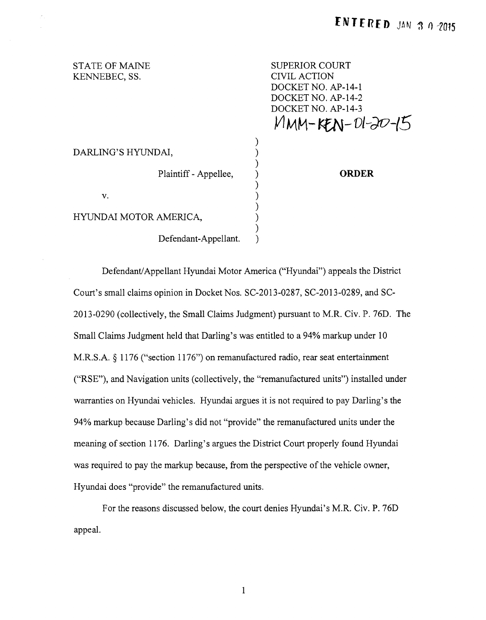## STATE OF MAINE KENNEBEC, SS.

SUPERIOR COURT CIVIL ACTION DOCKET NO. AP-14-1 DOCKET NO. AP-14-2 DOCKET NO. AP-14-3  $M$ MM-KEN-01-20-15

## DARLING'S HYUNDAI,

Plaintiff - Appellee,  $)$ 

 $\mathbf{v}$ . )

HYUNDAI MOTOR AMERICA, )

Defendant-Appellant.

**ORDER** 

Defendant/ Appellant Hyundai Motor America ("Hyundai") appeals the District Court's small claims opinion in Docket Nos. SC-2013-0287, SC-2013-0289, and SC-2013-0290 (collectively, the Small Claims Judgment) pursuant to M.R. Civ. P. 76D. The Small Claims Judgment held that Darling's was entitled to a 94% markup under 10 M.R.S.A. § 1176 ("section 1176") on remanufactured radio, rear seat entertainment ("RSE"), and Navigation units (collectively, the "remanufactured units") installed under warranties on Hyundai vehicles. Hyundai argues it is not required to pay Darling's the 94% markup because Darling's did not "provide" the remanufactured units under the meaning of section 1176. Darling's argues the District Court properly found Hyundai was required to pay the markup because, from the perspective of the vehicle owner, Hyundai does "provide" the remanufactured units.

)

)

)

)

)

For the reasons discussed below, the court denies Hyundai's M.R. Civ. P. 76D appeal.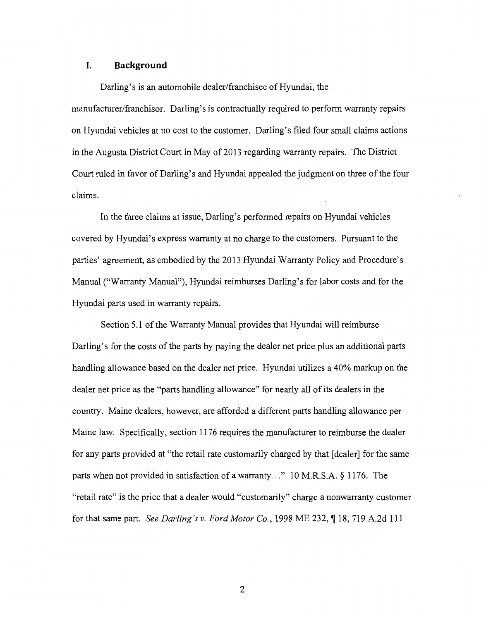#### **I. Background**

Darling's is an automobile dealer/franchisee of Hyundai, the manufacturer/franchisor. Darling's is contractually required to perform warranty repairs on Hyundai vehicles at no cost to the customer. Darling's filed four small claims actions in the Augusta District Court in May of 2013 regarding warranty repairs. The District Court ruled in favor of Darling's and Hyundai appealed the judgment on three of the four claims.

In the three claims at issue, Darling's performed repairs on Hyundai vehicles covered by Hyundai's express warranty at no charge to the customers. Pursuant to the parties' agreement, as embodied by the 2013 Hyundai Warranty Policy and Procedure's Manual ("Warranty Manual"), Hyundai reimburses Darling's for labor costs and for the Hyundai parts used in warranty repairs.

Section 5.1 of the Warranty Manual provides that Hyundai will reimburse Darling's for the costs of the parts by paying the dealer net price plus an additional parts handling allowance based on the dealer net price. Hyundai utilizes a 40% markup on the dealer net price as the "parts handling allowance" for nearly all of its dealers in the country. Maine dealers, however, are afforded a different parts handling allowance per Maine law. Specifically, section 1176 requires the manufacturer to reimburse the dealer for any parts provided at "the retail rate customarily charged by that [dealer] for the same parts when not provided in satisfaction of a warranty ... " 10 M.R.S.A. § 1176. The "retail rate" is the price that a dealer would "customarily" charge a nonwarranty customer for that same part. *See Darling's v. Ford Motor Co.*, 1998 ME 232, ¶18, 719 A.2d 111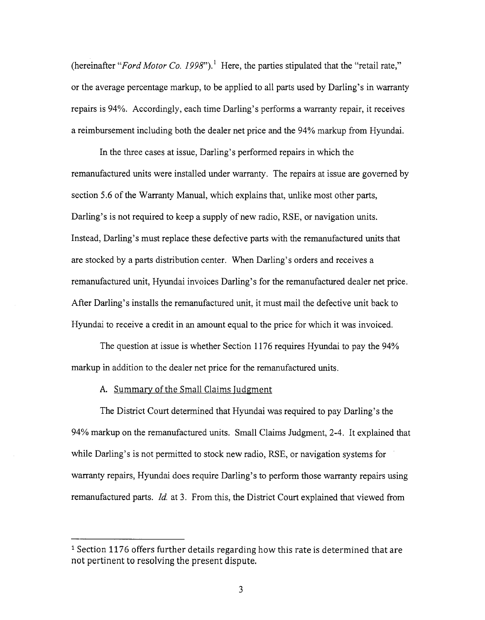(hereinafter *"Ford Motor Co. 1998").* 1 Here, the parties stipulated that the "retail rate," or the average percentage markup, to be applied to all parts used by Darling's in warranty repairs is 94%. Accordingly, each time Darling's performs a warranty repair, it receives a reimbursement including both the dealer net price and the 94% markup from Hyundai.

In the three cases at issue, Darling's performed repairs in which the remanufactured units were installed under warranty. The repairs at issue are governed by section 5.6 of the Warranty Manual, which explains that, unlike most other parts, Darling's is not required to keep a supply of new radio, RSE, or navigation units. Instead, Darling's must replace these defective parts with the remanufactured units that are stocked by a parts distribution center. When Darling's orders and receives a remanufactured unit, Hyundai invoices Darling's for the remanufactured dealer net price. After Darling's installs the remanufactured unit, it must mail the defective unit back to Hyundai to receive a credit in an amount equal to the price for which it was invoiced.

The question at issue is whether Section 1176 requires Hyundai to pay the 94% markup in addition to the dealer net price for the remanufactured units.

#### A. Summary of the Small Claims Judgment

The District Court determined that Hyundai was required to pay Darling's the 94% markup on the remanufactured units. Small Claims Judgment, 2-4. It explained that while Darling's is not permitted to stock new radio, RSE, or navigation systems for warranty repairs, Hyundai does require Darling's to perform those warranty repairs using remanufactured parts. *!d.* at 3. From this, the District Court explained that viewed from

<sup>1</sup> Section 1176 offers further details regarding how this rate is determined that are not pertinent to resolving the present dispute.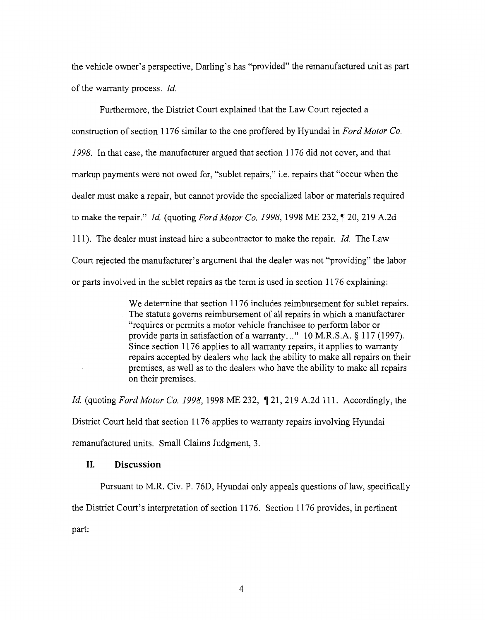the vehicle owner's perspective, Darling's has "provided" the remanufactured unit as part of the warranty process. *!d.* 

Furthermore, the District Court explained that the Law Court rejected a construction of section 1176 similar to the one proffered by Hyundai in *Ford Motor Co. 1998.* In that case, the manufacturer argued that section 1176 did not cover, and that markup payments were not owed for, "sublet repairs," i.e. repairs that "occur when the dealer must make a repair, but cannot provide the specialized labor or materials required to make the repair." *Id.* (quoting *Ford Motor Co. 1998,* 1998 ME 232, 120, 219 A.2d 111). The dealer must instead hire a subcontractor to make the repair. *!d.* The Law Court rejected the manufacturer's argument that the dealer was not "providing" the labor or parts involved in the sublet repairs as the term is used in section 1176 explaining:

> We determine that section 1176 includes reimbursement for sublet repairs. The statute governs reimbursement of all repairs in which a manufacturer "requires or permits a motor vehicle franchisee to perform labor or provide parts in satisfaction of a warranty..." 10 M.R.S.A. § 117 (1997). Since section 1176 applies to all warranty repairs, it applies to warranty repairs accepted by dealers who lack the ability to make all repairs on their premises, as well as to the dealers who have the ability to make all repairs on their premises.

*Id.* (quoting *Ford Motor Co. 1998,* 1998 ME 232, 121, 219 A.2d 111. Accordingly, the District Court held that section 1176 applies to warranty repairs involving Hyundai remanufactured units. Small Claims Judgment, 3.

## **II. Discussion**

Pursuant to M.R. Civ. P. 76D, Hyundai only appeals questions of law, specifically the District Court's interpretation of section 1176. Section 1176 provides, in pertinent part: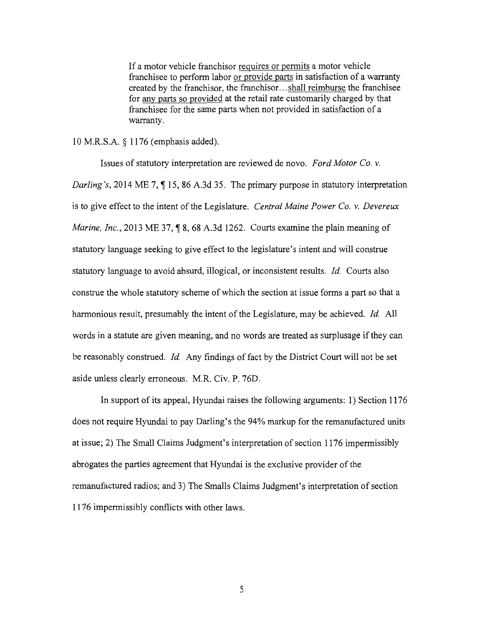If a motor vehicle franchisor requires or permits a motor vehicle franchisee to perform labor or provide parts in satisfaction of a warranty created by the franchisor, the franchisor ... shall reimburse the franchisee for any parts so provided at the retail rate customarily charged by that franchisee for the same parts when not provided in satisfaction of a warranty.

### 10 M.R.S.A. *§* 1176 (emphasis added).

Issues of statutory interpretation are reviewed de novo. *Ford Motor Co. v. Darling's, 2014 ME 7,* 15, 86 A.3d 35. The primary purpose in statutory interpretation is to give effect to the intent of the Legislature. *Central Maine Power Co. v. Devereux Marine, Inc.,* 2013 ME 37, 18, 68 A.3d 1262. Courts examine the plain meaning of statutory language seeking to give effect to the legislature's intent and will construe statutory language to avoid absurd, illogical, or inconsistent results. *!d.* Courts also construe the whole statutory scheme of which the section at issue forms a part so that a harmonious result, presumably the intent of the Legislature, may be achieved. *!d.* All words in a statute are given meaning, and no words are treated as surplusage if they can be reasonably construed. *!d.* Any findings of fact by the District Court will not be set aside unless clearly erroneous. M.R. Civ. P. 76D.

In support of its appeal, Hyundai raises the following arguments: 1) Section 1176 does not require Hyundai to pay Darling's the 94% markup for the remanufactured units at issue; 2) The Small Claims Judgment's interpretation of section 1176 impermissibly abrogates the parties agreement that Hyundai is the exclusive provider of the remanufactured radios; and 3) The Smalls Claims Judgment's interpretation of section 1176 impermissibly conflicts with other laws.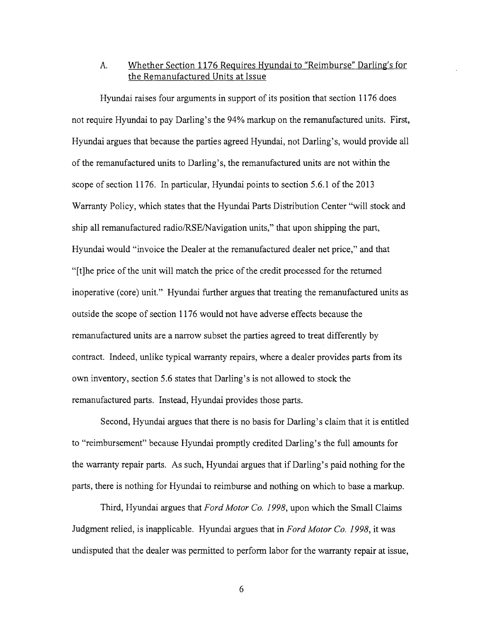## A. Whether Section 1176 Requires Hyundai to "Reimburse" Darling's for the Remanufactured Units at Issue

Hyundai raises four arguments in support of its position that section 1176 does not require Hyundai to pay Darling's the 94% markup on the remanufactured units. First, Hyundai argues that because the parties agreed Hyundai, not Darling's, would provide all of the remanufactured units to Darling's, the remanufactured units are not within the scope of section 1176. In particular, Hyundai points to section  $5.6.1$  of the  $2013$ Warranty Policy, which states that the Hyundai Parts Distribution Center "will stock and ship all remanufactured radio/RSE/Navigation units," that upon shipping the part, Hyundai would "invoice the Dealer at the remanufactured dealer net price," and that "[t]he price of the unit will match the price of the credit processed for the returned inoperative (core) unit." Hyundai further argues that treating the remanufactured units as outside the scope of section 1176 would not have adverse effects because the remanufactured units are a narrow subset the parties agreed to treat differently by contract. Indeed, unlike typical warranty repairs, where a dealer provides parts from its own inventory, section 5.6 states that Darling's is not allowed to stock the remanufactured parts. Instead, Hyundai provides those parts.

Second, Hyundai argues that there is no basis for Darling's claim that it is entitled to "reimbursement" because Hyundai promptly credited Darling's the full amounts for the warranty repair parts. As such, Hyundai argues that if Darling's paid nothing for the parts, there is nothing for Hyundai to reimburse and nothing on which to base a markup.

Third, Hyundai argues that *Ford Motor Co. 1998,* upon which the Small Claims Judgment relied, is inapplicable. Hyundai argues that in *Ford Motor Co. 1998,* it was undisputed that the dealer was permitted to perform labor for the warranty repair at issue,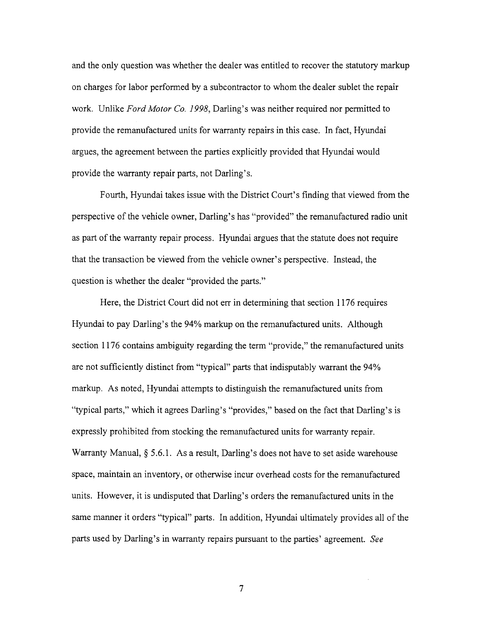and the only question was whether the dealer was entitled to recover the statutory markup on charges for labor performed by a subcontractor to whom the dealer sublet the repair work. Unlike *Ford Motor Co. 1998,* Darling's was neither required nor permitted to provide the remanufactured units for warranty repairs in this case. In fact, Hyundai argues, the agreement between the parties explicitly provided that Hyundai would provide the warranty repair parts, not Darling's.

Fourth, Hyundai takes issue with the District Court's finding that viewed from the perspective of the vehicle owner, Darling's has "provided" the remanufactured radio unit as part of the warranty repair process. Hyundai argues that the statute does not require that the transaction be viewed from the vehicle owner's perspective. Instead, the question is whether the dealer "provided the parts."

Here, the District Court did not err in determining that section 1176 requires Hyundai to pay Darling's the 94% markup on the remanufactured units. Although section 1176 contains ambiguity regarding the term "provide," the remanufactured units are not sufficiently distinct from "typical" parts that indisputably warrant the 94% markup. As noted, Hyundai attempts to distinguish the remanufactured units from "typical parts," which it agrees Darling's "provides," based on the fact that Darling's is expressly prohibited from stocking the remanufactured units for warranty repair. Warranty Manual, § 5.6.1. As a result, Darling's does not have to set aside warehouse space, maintain an inventory, or otherwise incur overhead costs for the remanufactured units. However, it is undisputed that Darling's orders the remanufactured units in the same manner it orders "typical" parts. In addition, Hyundai ultimately provides all of the parts used by Darling's in warranty repairs pursuant to the parties' agreement. *See*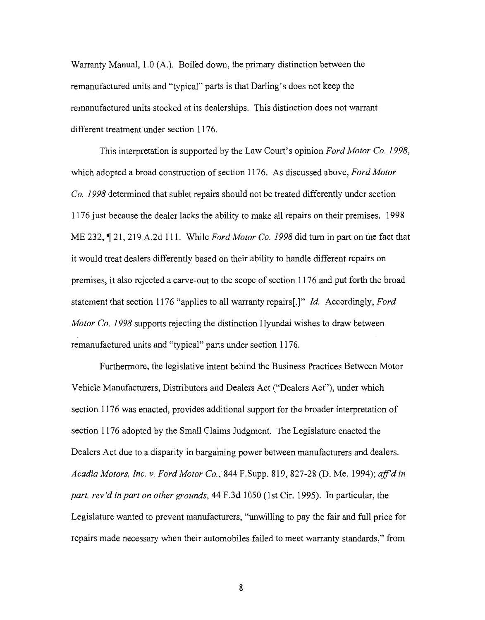Warranty Manual, 1.0 (A.). Boiled down, the primary distinction between the remanufactured units and "typical" parts is that Darling's does not keep the remanufactured units stocked at its dealerships. This distinction does not warrant different treatment under section 1176.

This interpretation is supported by the Law Court's opinion *Ford Motor Co. 1998,*  which adopted a broad construction of section 1176. As discussed above, *Ford Motor Co. 1998* determined that sublet repairs should not be treated differently under section 1176 just because the dealer lacks the ability to make all repairs on their premises. 1998 ME 232, 121, 219 A.2d 111. While *Ford Motor Co. 1998* did turn in part on the fact that it would treat dealers differently based on their ability to handle different repairs on premises, it also rejected a carve-out to the scope of section 1176 and put forth the broad statement that section 1176 "applies to all warranty repairs[.]" *!d.* Accordingly, *Ford Motor Co. 1998* supports rejecting the distinction Hyundai wishes to draw between remanufactured units and "typical" parts under section 1176.

Furthermore, the legislative intent behind the Business Practices Between Motor Vehicle Manufacturers, Distributors and Dealers Act ("Dealers Act"), under which section 1176 was enacted, provides additional support for the broader interpretation of section 1176 adopted by the Small Claims Judgment. The Legislature enacted the Dealers Act due to a disparity in bargaining power between manufacturers and dealers. *Acadia Motors, Inc. v. Ford Motor Co.,* 844 F.Supp. 819, 827-28 (D. Me. 1994); *a.ff'd in part, rev'd in part on other grounds,* 44 F.3d 1050 (1st Cir. 1995). In particular, the Legislature wanted to prevent manufacturers, "unwilling to pay the fair and full price for repairs made necessary when their automobiles failed to meet warranty standards," from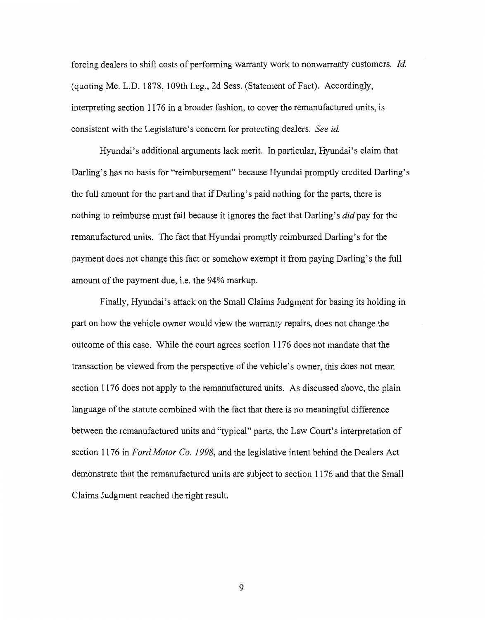forcing dealers to shift costs of performing warranty work to nonwarranty customers. */d.*  (quoting Me. L.D. 1878, 109th Leg., 2d Sess. (Statement of Fact). Accordingly, interpreting section 1176 in a broader fashion, to cover the remanufactured units, is consistent with the Legislature's concern for protecting dealers. *See id.* 

Hyundai's additional arguments lack merit. In particular, Hyundai's claim that Darling's has no basis for "reimbursement" because Hyundai promptly credited Darling's the full amount for the part and that if Darling's paid nothing for the parts, there is nothing to reimburse must fail because it ignores the fact that Darling's *did* pay for the remanufactured units. The fact that Hyundai promptly reimbursed Darling's for the payment does not change this fact or somehow exempt it from paying Darling's the full amount of the payment due, i.e. the 94% markup.

Finally, Hyundai's attack on the Small Claims Judgment for basing its holding in part on how the vehicle owner would view the warranty repairs, does not change the outcome of this case. While the court agrees section 1176 does not mandate that the transaction be viewed from the perspective of the vehicle's owner, this does not mean section 1176 does not apply to the remanufactured units. As discussed above, the plain language of the statute combined with the fact that there is no meaningful difference between the remanufactured units and "typical" parts, the Law Court's interpretation of section 1176 in *Ford Motor Co. 1998,* and the legislative intent behind the Dealers Act demonstrate that the remanufactured units are subject to section 1176 and that the Small Claims Judgment reached the right result.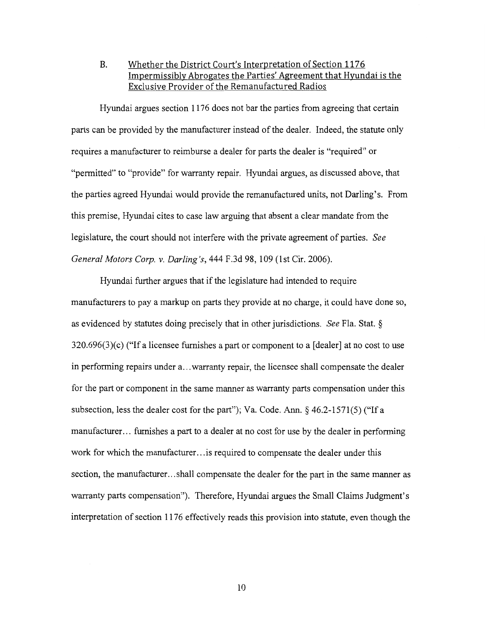B. Whether the District *Court's* Interpretation of Section 1176 Impermissibly Abrogates the Parties' Agreement that Hyundai is the Exclusive Provider of the Remanufactured Radios

Hyundai argues section 1176 does not bar the parties from agreeing that certain parts can be provided by the manufacturer instead of the dealer. Indeed, the statute only requires a manufacturer to reimburse a dealer for parts the dealer is "required" or "permitted" to "provide" for warranty repair. Hyundai argues, as discussed above, that the parties agreed Hyundai would provide the remanufactured units, not Darling's. From this premise, Hyundai cites to case law arguing that absent a clear mandate from the legislature, the court should not interfere with the private agreement of parties. *See General Motors Corp. v. Darling's,* 444 F.3d 98, 109 (1st Cir. 2006).

Hyundai further argues that if the legislature had intended to require manufacturers to pay a markup on parts they provide at no charge, it could have done so, as evidenced by statutes doing precisely that in other jurisdictions. *See* Fla. Stat. § 320.696(3)(c) ("If a licensee furnishes a part or component to a [dealer] at no cost to use in performing repairs under a ... warranty repair, the licensee shall compensate the dealer for the part or component in the same manner as warranty parts compensation under this subsection, less the dealer cost for the part"); Va. Code. Ann.  $\S$  46.2-1571(5) ("If a manufacturer... furnishes a part to a dealer at no cost for use by the dealer in performing work for which the manufacturer... is required to compensate the dealer under this section, the manufacturer... shall compensate the dealer for the part in the same manner as warranty parts compensation"). Therefore, Hyundai argues the Small Claims Judgment's interpretation of section 1176 effectively reads this provision into statute, even though the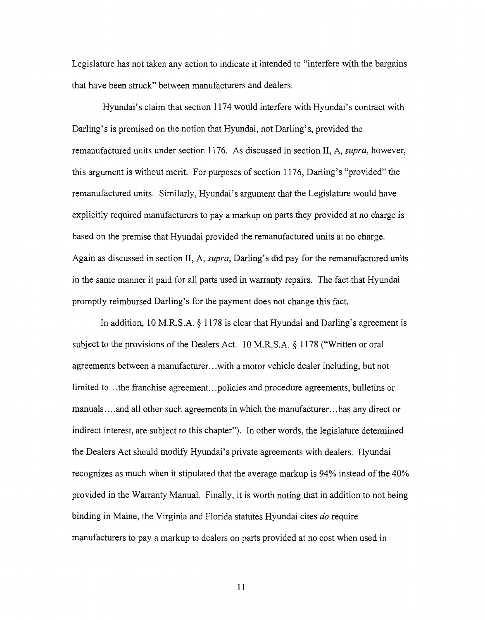Legislature has not taken any action to indicate it intended to "interfere with the bargains that have been struck" between manufacturers and dealers.

Hyundai's claim that section 1174 would interfere with Hyundai's contract with Darling's is premised on the notion that Hyundai, not Darling's, provided the remanufactured units under section 1176. As discussed in section II, A, *supra,* however, this argument is without merit. For purposes of section 1176, Darling's "provided" the remanufactured units. Similarly, Hyundai's argument that the Legislature would have explicitly required manufacturers to pay a markup on parts they provided at no charge is based on the premise that Hyundai provided the remanufactured units at no charge. Again as discussed in section II, A, *supra,* Darling's did pay for the remanufactured units in the same manner it paid for all parts used in warranty repairs. The fact that Hyundai promptly reimbursed Darling's for the payment does not change this fact.

In addition, 10 M.R.S.A. § 1178 is clear that Hyundai and Darling's agreement is subject to the provisions of the Dealers Act. 10 M.R.S.A. § 1178 ("Written or oral agreements between a manufacturer ... with a motor vehicle dealer including, but not limited to... the franchise agreement... policies and procedure agreements, bulletins or manuals .... and all other such agreements in which the manufacturer ... has any direct or indirect interest, are subject to this chapter"). In other words, the legislature determined the Dealers Act should modify Hyundai's private agreements with dealers. Hyundai recognizes as much when it stipulated that the average markup is 94% instead of the 40% provided in the Warranty Manual. Finally, it is worth noting that in addition to not being binding in Maine, the Virginia and Florida statutes Hyundai cites *do* require manufacturers to pay a markup to dealers on parts provided at no cost when used in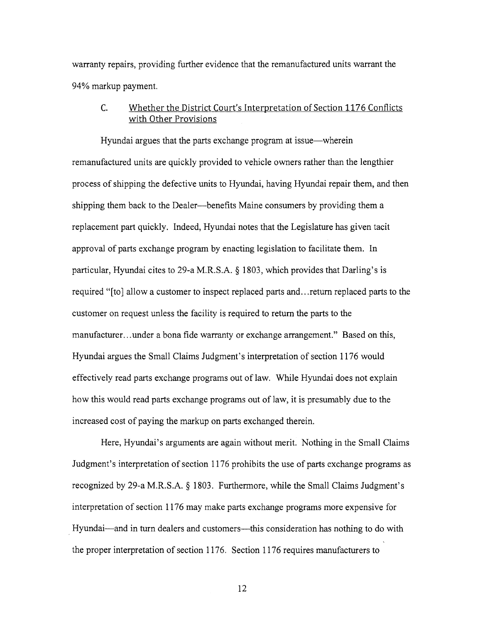warranty repairs, providing further evidence that the remanufactured units warrant the 94% markup payment.

## C. Whether the District Court's Interpretation of Section 1176 Conflicts with Other Provisions

Hyundai argues that the parts exchange program at issue—wherein remanufactured units are quickly provided to vehicle owners rather than the lengthier process of shipping the defective units to Hyundai, having Hyundai repair them, and then shipping them back to the Dealer--benefits Maine consumers by providing them a replacement part quickly. Indeed, Hyundai notes that the Legislature has given tacit approval of parts exchange program by enacting legislation to facilitate them. In particular, Hyundai cites to 29-a M.R.S.A. § 1803, which provides that Darling's is required "[to] allow a customer to inspect replaced parts and ... return replaced parts to the customer on request unless the facility is required to return the parts to the manufacturer... under a bona fide warranty or exchange arrangement." Based on this, Hyundai argues the Small Claims Judgment's interpretation of section 1176 would effectively read parts exchange programs out of law. While Hyundai does not explain how this would read parts exchange programs out of law, it is presumably due to the increased cost of paying the markup on parts exchanged therein.

Here, Hyundai's arguments are again without merit. Nothing in the Small Claims Judgment's interpretation of section 1176 prohibits the use of parts exchange programs as recognized by 29-a M.R.S.A. *§* 1803. Furthermore, while the Small Claims Judgment's interpretation of section 1176 may make parts exchange programs more expensive for Hyundai—and in turn dealers and customers—this consideration has nothing to do with the proper interpretation of section 1176. Section 1176 requires manufacturers to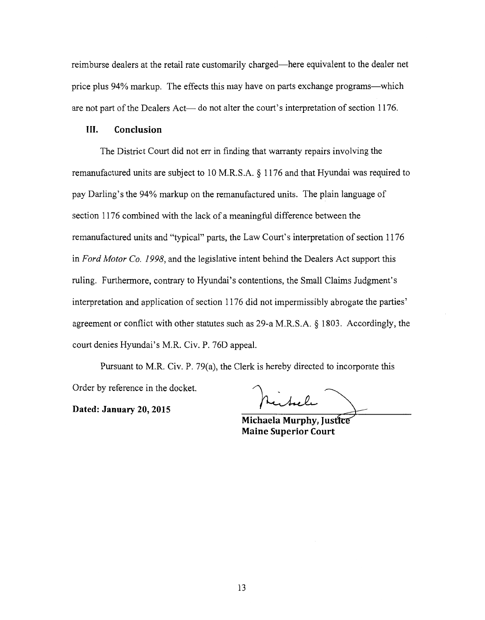reimburse dealers at the retail rate customarily charged-here equivalent to the dealer net price plus 94% markup. The effects this may have on parts exchange programs-which are not part of the Dealers Act- do not alter the court's interpretation of section 1176.

#### III. **Conclusion**

The District Court did not err in finding that warranty repairs involving the remanufactured units are subject to 10 M.R.S.A. § 1176 and that Hyundai was required to pay Darling's the 94% markup on the remanufactured units. The plain language of section 1176 combined with the lack of a meaningful difference between the remanufactured units and "typical" parts, the Law Court's interpretation of section 1176 in *Ford Motor Co. 1998,* and the legislative intent behind the Dealers Act support this ruling. Furthermore, contrary to Hyundai's contentions, the Small Claims Judgment's interpretation and application of section 1176 did not impermissibly abrogate the parties' agreement or conflict with other statutes such as 29-a M.R.S.A. § 1803. Accordingly, the court denies Hyundai's M.R. Civ. P. 76D appeal.

Pursuant to M.R. Civ. P. 79(a), the Clerk is hereby directed to incorporate this Order by reference in the docket.

**Dated: January 20, 2015** 

بدار کم ویل که

**Maine Michaela Murphy, Justice**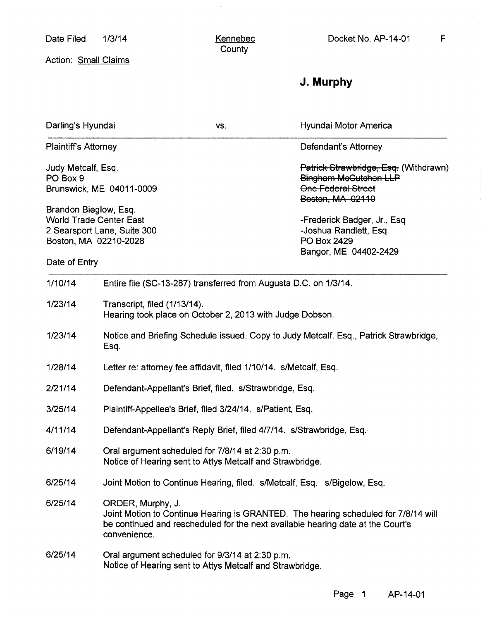Date Filed 1/3/14

 $\mathcal{A}^{\mathcal{A}}$ 

Action: Small Claims

# **J. Murphy**

| Darling's Hyundai                                                                                               |                                                                                                                                                                                                            | VS.                                                                                                         | Hyundai Motor America                                                                                             |  |
|-----------------------------------------------------------------------------------------------------------------|------------------------------------------------------------------------------------------------------------------------------------------------------------------------------------------------------------|-------------------------------------------------------------------------------------------------------------|-------------------------------------------------------------------------------------------------------------------|--|
| <b>Plaintiff's Attorney</b>                                                                                     |                                                                                                                                                                                                            |                                                                                                             | Defendant's Attorney                                                                                              |  |
| Judy Metcalf, Esq.<br>PO Box 9<br>Brunswick, ME 04011-0009                                                      |                                                                                                                                                                                                            |                                                                                                             | Patrick Strawbridge, Esq. (Withdrawn)<br>Bingham McGutchen LLP<br><b>One Federal Street</b>                       |  |
| Brandon Bieglow, Esq.<br><b>World Trade Center East</b><br>2 Searsport Lane, Suite 300<br>Boston, MA 02210-2028 |                                                                                                                                                                                                            |                                                                                                             | Boston, MA 02110<br>-Frederick Badger, Jr., Esq.<br>-Joshua Randlett, Esq<br>PO Box 2429<br>Bangor, ME 04402-2429 |  |
| Date of Entry                                                                                                   |                                                                                                                                                                                                            |                                                                                                             |                                                                                                                   |  |
| 1/10/14                                                                                                         |                                                                                                                                                                                                            | Entire file (SC-13-287) transferred from Augusta D.C. on 1/3/14.                                            |                                                                                                                   |  |
| 1/23/14                                                                                                         | Transcript, filed (1/13/14).<br>Hearing took place on October 2, 2013 with Judge Dobson.                                                                                                                   |                                                                                                             |                                                                                                                   |  |
| 1/23/14                                                                                                         | Notice and Briefing Schedule issued. Copy to Judy Metcalf, Esq., Patrick Strawbridge,<br>Esq.                                                                                                              |                                                                                                             |                                                                                                                   |  |
| 1/28/14                                                                                                         |                                                                                                                                                                                                            | Letter re: attorney fee affidavit, filed 1/10/14. s/Metcalf, Esq.                                           |                                                                                                                   |  |
| 2/21/14                                                                                                         |                                                                                                                                                                                                            | Defendant-Appellant's Brief, filed. s/Strawbridge, Esq.                                                     |                                                                                                                   |  |
| 3/25/14                                                                                                         |                                                                                                                                                                                                            | Plaintiff-Appellee's Brief, filed 3/24/14. s/Patient, Esq.                                                  |                                                                                                                   |  |
| 4/11/14                                                                                                         |                                                                                                                                                                                                            | Defendant-Appellant's Reply Brief, filed 4/7/14. s/Strawbridge, Esq.                                        |                                                                                                                   |  |
| 6/19/14                                                                                                         |                                                                                                                                                                                                            | Oral argument scheduled for 7/8/14 at 2:30 p.m.<br>Notice of Hearing sent to Attys Metcalf and Strawbridge. |                                                                                                                   |  |
| 6/25/14                                                                                                         | Joint Motion to Continue Hearing, filed. s/Metcalf, Esq. s/Bigelow, Esq.                                                                                                                                   |                                                                                                             |                                                                                                                   |  |
| 6/25/14                                                                                                         | ORDER, Murphy, J.<br>Joint Motion to Continue Hearing is GRANTED. The hearing scheduled for 7/8/14 will<br>be continued and rescheduled for the next available hearing date at the Court's<br>convenience. |                                                                                                             |                                                                                                                   |  |
| 6/25/14                                                                                                         | Oral argument scheduled for 9/3/14 at 2:30 p.m.<br>Notice of Hearing sent to Attys Metcalf and Strawbridge.                                                                                                |                                                                                                             |                                                                                                                   |  |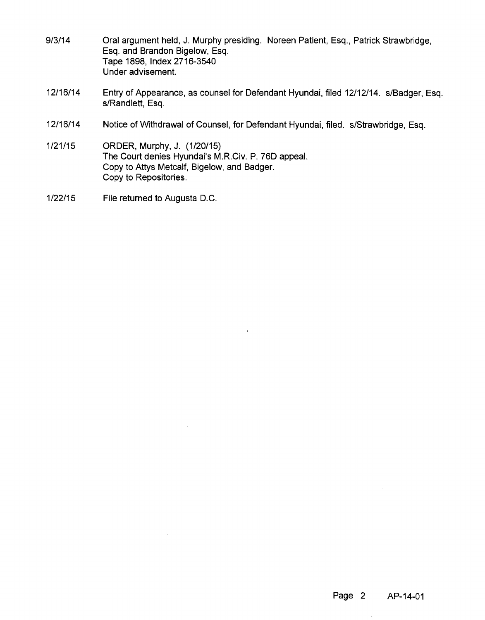| 9/3/14   | Oral argument held, J. Murphy presiding. Noreen Patient, Esq., Patrick Strawbridge,<br>Esq. and Brandon Bigelow, Esq.<br>Tape 1898, Index 2716-3540<br>Under advisement. |
|----------|--------------------------------------------------------------------------------------------------------------------------------------------------------------------------|
| 12/16/14 | Entry of Appearance, as counsel for Defendant Hyundai, filed 12/12/14. s/Badger, Esg.<br>s/Randlett, Esq.                                                                |
|          |                                                                                                                                                                          |

12/16/14 Notice of Withdrawal of Counsel, for Defendant Hyundai, filed. s/Strawbridge, Esq.

 $\sim$ 

1/21/15 ORDER, Murphy, J. (1/20/15) The Court denies Hyundai's M.R.Civ. P. 76D appeal. Copy to Attys Metcalf, Bigelow, and Badger. Copy to Repositories.

 $\mathcal{A}^{\mathcal{A}}$ 

1/22/15 File returned to Augusta D.C.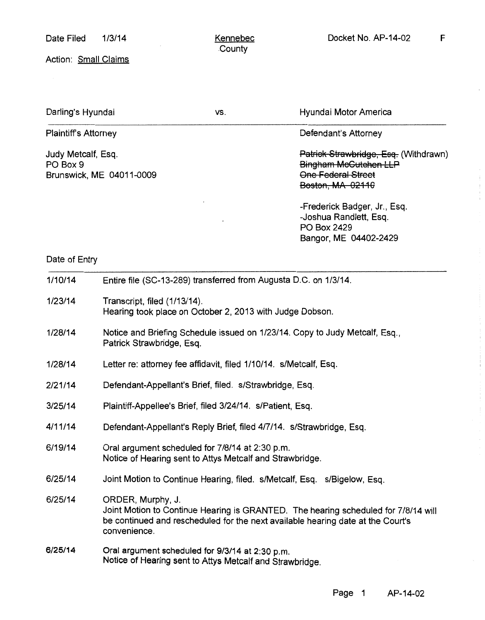Bangor, ME 04402-2429

Action: Small Claims

| Darling's Hyundai                                          | VS. | Hyundai Motor America                                                                                    |
|------------------------------------------------------------|-----|----------------------------------------------------------------------------------------------------------|
| <b>Plaintiff's Attorney</b>                                |     | Defendant's Attorney                                                                                     |
| Judy Metcalf, Esq.<br>PO Box 9<br>Brunswick, ME 04011-0009 |     | Patrick Strawbridge, Esq. (Withdrawn)<br>Bingham McGutchen LLP<br>One Federal Street<br>Boston, MA 02110 |
|                                                            |     | -Frederick Badger, Jr., Esq.<br>-Joshua Randlett, Esq.<br>PO Box 2429                                    |

## Date of Entry

| 1/10/14 | Entire file (SC-13-289) transferred from Augusta D.C. on 1/3/14.                                                                                                                                           |  |  |
|---------|------------------------------------------------------------------------------------------------------------------------------------------------------------------------------------------------------------|--|--|
| 1/23/14 | Transcript, filed (1/13/14).<br>Hearing took place on October 2, 2013 with Judge Dobson.                                                                                                                   |  |  |
| 1/28/14 | Notice and Briefing Schedule issued on 1/23/14. Copy to Judy Metcalf, Esq.,<br>Patrick Strawbridge, Esq.                                                                                                   |  |  |
| 1/28/14 | Letter re: attorney fee affidavit, filed 1/10/14. s/Metcalf, Esq.                                                                                                                                          |  |  |
| 2/21/14 | Defendant-Appellant's Brief, filed. s/Strawbridge, Esq.                                                                                                                                                    |  |  |
| 3/25/14 | Plaintiff-Appellee's Brief, filed 3/24/14. s/Patient, Esq.                                                                                                                                                 |  |  |
| 4/11/14 | Defendant-Appellant's Reply Brief, filed 4/7/14. s/Strawbridge, Esq.                                                                                                                                       |  |  |
| 6/19/14 | Oral argument scheduled for 7/8/14 at 2:30 p.m.<br>Notice of Hearing sent to Attys Metcalf and Strawbridge.                                                                                                |  |  |
| 6/25/14 | Joint Motion to Continue Hearing, filed. s/Metcalf, Esq. s/Bigelow, Esq.                                                                                                                                   |  |  |
| 6/25/14 | ORDER, Murphy, J.<br>Joint Motion to Continue Hearing is GRANTED. The hearing scheduled for 7/8/14 will<br>be continued and rescheduled for the next available hearing date at the Court's<br>convenience. |  |  |
| 6/25/14 | Oral argument scheduled for 9/3/14 at 2:30 p.m.<br>Notice of Hearing sent to Attys Metcalf and Strawbridge.                                                                                                |  |  |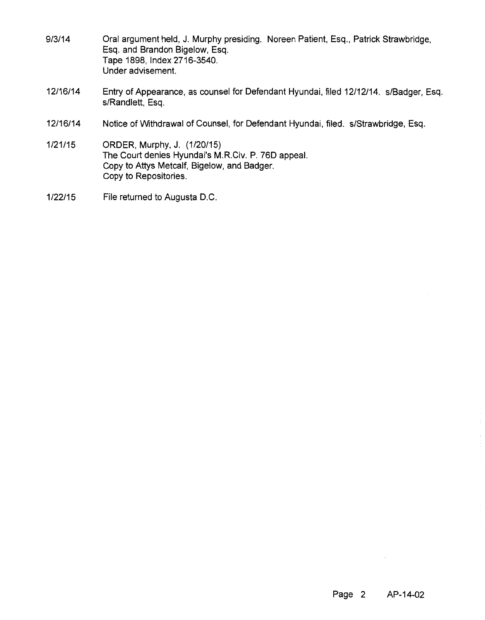| 9/3/14   | Oral argument held, J. Murphy presiding. Noreen Patient, Esq., Patrick Strawbridge,<br>Esq. and Brandon Bigelow, Esq.<br>Tape 1898, Index 2716-3540.<br>Under advisement. |
|----------|---------------------------------------------------------------------------------------------------------------------------------------------------------------------------|
| 12/16/14 | Entry of Appearance, as counsel for Defendant Hyundai, filed 12/12/14. s/Badger, Esq.<br>s/Randlett, Esq.                                                                 |
| 12/16/14 | Notice of Withdrawal of Counsel, for Defendant Hyundai, filed. s/Strawbridge, Esq.                                                                                        |

- 1/21/15 ORDER, Murphy, J. (1/20/15) The Court denies Hyundai's M.R.Civ. P. 76D appeal. Copy to Attys Metcalf, Bigelow, and Badger. Copy to Repositories.
- 1/22/15 File returned to Augusta D.C.

 $\mathcal{L}^{\mathcal{L}}$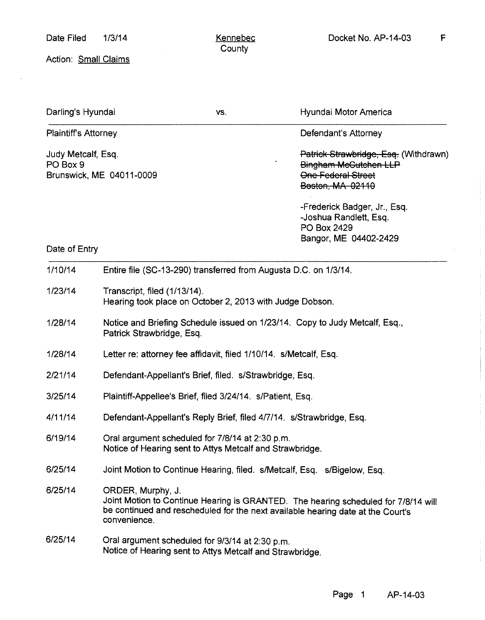Action: Small Claims

| Darling's Hyundai                                          |                                                                                                             | VS. | Hyundai Motor America                                                                                                                                                 |
|------------------------------------------------------------|-------------------------------------------------------------------------------------------------------------|-----|-----------------------------------------------------------------------------------------------------------------------------------------------------------------------|
| <b>Plaintiff's Attorney</b>                                |                                                                                                             |     | Defendant's Attorney                                                                                                                                                  |
| Judy Metcalf, Esq.<br>PO Box 9<br>Brunswick, ME 04011-0009 |                                                                                                             |     | Patrick Strawbridge, Esq. (Withdrawn)<br><b>Bingham McGutchen LLP</b><br><b>One Federal Street</b><br><b>Beston, MA 02110</b>                                         |
|                                                            |                                                                                                             |     | -Frederick Badger, Jr., Esq.<br>-Joshua Randlett, Esg.<br>PO Box 2429<br>Bangor, ME 04402-2429                                                                        |
| Date of Entry                                              |                                                                                                             |     |                                                                                                                                                                       |
| 1/10/14                                                    | Entire file (SC-13-290) transferred from Augusta D.C. on 1/3/14.                                            |     |                                                                                                                                                                       |
| 1/23/14                                                    | Transcript, filed (1/13/14).<br>Hearing took place on October 2, 2013 with Judge Dobson.                    |     |                                                                                                                                                                       |
| 1/28/14                                                    | Notice and Briefing Schedule issued on 1/23/14. Copy to Judy Metcalf, Esq.,<br>Patrick Strawbridge, Esq.    |     |                                                                                                                                                                       |
| 1/28/14                                                    | Letter re: attorney fee affidavit, filed 1/10/14. s/Metcalf, Esq.                                           |     |                                                                                                                                                                       |
| 2/21/14                                                    | Defendant-Appellant's Brief, filed. s/Strawbridge, Esq.                                                     |     |                                                                                                                                                                       |
| 3/25/14                                                    | Plaintiff-Appellee's Brief, filed 3/24/14. s/Patient, Esq.                                                  |     |                                                                                                                                                                       |
| 4/11/14                                                    | Defendant-Appellant's Reply Brief, filed 4/7/14. s/Strawbridge, Esq.                                        |     |                                                                                                                                                                       |
| 6/19/14                                                    | Oral argument scheduled for 7/8/14 at 2:30 p.m.<br>Notice of Hearing sent to Attys Metcalf and Strawbridge. |     |                                                                                                                                                                       |
| 6/25/14                                                    | Joint Motion to Continue Hearing, filed. s/Metcalf, Esq. s/Bigelow, Esq.                                    |     |                                                                                                                                                                       |
| 6/25/14                                                    | ORDER, Murphy, J.<br>convenience.                                                                           |     | Joint Motion to Continue Hearing is GRANTED. The hearing scheduled for 7/8/14 will<br>be continued and rescheduled for the next available hearing date at the Court's |
| 6/25/14                                                    | Oral argument scheduled for 9/3/14 at 2:30 p.m.<br>Notice of Hearing sent to Attys Metcalf and Strawbridge. |     |                                                                                                                                                                       |